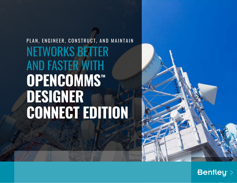# PLAN, ENGINEER, CONSTRUCT, AND MAINTAIN NETWORKS BETTER AND FASTER WITH **OPENCOMMS™ DESIGNER CONNECT EDITION**



**Bentley** >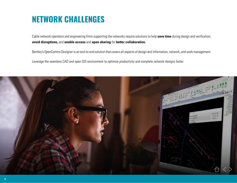## **NETWORK CHALLENGES**

Cable network operators and engineering firms supporting the networks require solutions to help **save time** during design and verification, **avoid disruptions,** and **enable access** and **open sharing** for **better collaboration.** 

Bentley's OpenComms Designer is an end-to-end solution that covers all aspects of design and information, network, and work management.

Leverage the seamless CAD and open GIS environment to optimize productivity and complete network designs faster.

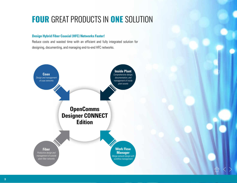# **FOUR GREAT PRODUCTS IN ONE SOLUTION**

### **Design Hybrid Fiber Coaxial (HFC) Networks Faster!**

Reduce costs and wasted time with an efficient and fully integrated solution for designing, documenting, and managing end-to-end HFC networks.

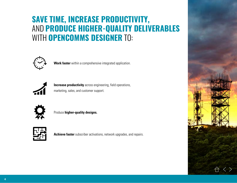# **SAVE TIME, INCREASE PRODUCTIVITY,** AND **PRODUCE HIGHER-QUALITY DELIVERABLES**  WITH **OPENCOMMS DESIGNER** TO:



**Work faster** within a comprehensive integrated application.



**Increase productivity** across engineering, field operations, marketing, sales, and customer support.



Produce **higher-quality designs.**



**Achieve faster** subscriber activations, network upgrades, and repairs.

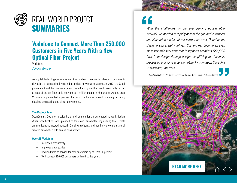

### **Vodafone to Connect More Than 250,000 Customers in Five Years With a New Optical Fiber Project**

Vodafone

*Athens, Greece*

As digital technology advances and the number of connected devices continues to skyrocket, cities need to invest in better data networks to keep up. In 2017, the Greek government and the European Union created a program that would eventually roll out a state-of-the-art fiber optic network to 4 million people in the greater Athens area. Vodafone implemented a process that would automate network planning, including detailed engineering and circuit provisioning.

#### **The Project Team**

OpenComms Designer provided the environment for an automated network design. When specifications are uploaded to the cloud, automated engineering tools create an intelligent connected network. Splicing, splitting, and naming conventions are all created automatically to ensure consistency.

#### **Overall, Vodafone:**

- Increased productivity.
- Improved data quality.
- Reduced time to service for new customers by at least 50 percent.
- Will connect 250,000 customers within first five years.

*With the challenges on our ever-growing optical fiber network, we needed to rapidly assess the qualitative aspects and simulation models of our current network. OpenComms Designer successfully delivers this and has become an even more valuable tool now that it supports seamless OSS/BSS flow from design through assign, simplifying the business process by providing accurate network information through a user-friendly interface.*

*–Konstantina Birmpa, FO design engineer, civil works & fiber optics, Vodafone, Greece*

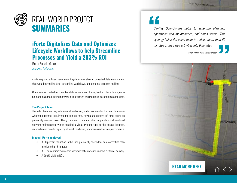# REAL-WORLD PROJECT **SUMMARIES**

### **iForte Digitalizes Data and Optimizes Lifecycle Workflows to help Streamline Processes and Yield a 203% ROI**

iForte Solusi Infotek

*Jakarta, Indonesia*

iForte required a fiber management system to enable a connected data environment that would centralize data, streamline workflows, and enhance decision-making.

OpenComms created a connected data environment throughout all lifecycle stages to help optimize the existing network infrastructure and maximize potential sales targets.

#### **The Project Team**

The sales team can log in to view all networks, and in six minutes they can determine whether customer requirements can be met, saving 90 percent of time spent on previously manual tasks. Using Bentley's communication applications streamlined network maintenance, which enabled a visual system trace to the outage location, reduced mean time to repair by at least two hours, and increased service performance.

#### **In total, iForte achieved:**

- A 90 percent reduction in the time previously needed for sales activities than into less than 6 minutes.
- A 90 percent improvement in workflow efficiencies to improve customer delivery.
- A 203% yield in ROI.

*Bentley OpenComms helps to synergize planning, operations and maintenance, and sales teams. This synergy helps the sales team to reduce more than 60 minutes of the sales activities into 6 minutes.*

*–Taufan Yudha , Fiber Optic Manager*

Klar Noat Allan Manyar Rejo **Lan Nyimden Sémolo** molowaru **[READ MORE HERE](https://www.bentley.com/en/project-profiles/2018/iforte-solusi-infotek_fiber-management-system)**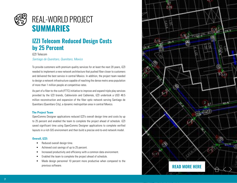

# REAL-WORLD PROJECT **SUMMARIES**

## **IZZI Telecom Reduced Design Costs by 25 Percent**

IZZI Telecom

*Santiago de Querétaro, Querétaro, Mexico*

To provide customers with premium quality services for at least the next 20 years, IZZI needed to implement a new network architecture that pushed fiber closer to customers and delivered the best service in central Mexico. In addition, the project team needed to design a network infrastructure capable of reaching the dense metro area population of more than 1 million people at competitive rates.

As part of a fiber-to-the-curb (FTTC) initiative to improve and expand triple play services provided by the IZZI brands, Cablevisión and Cablemás, IZZI undertook a USD 48.5 million reconstruction and expansion of the fiber optic network serving Santiago de Querétaro (Querétaro City), a dynamic metropolitan area in central Mexico.

#### **The Project Team**

OpenComms Designer applications reduced IZZI's overall design time and costs by up to 25 percent and enabled the team to complete the project ahead of schedule. IZZI saved significant time using OpenComms Designer applications to complete verified layouts in a rich GIS environment and then build a precise end-to-end network model.

#### **Overall, IZZI:**

- Reduced overall design time.
- Achieved cost savings of up to 25 percent.
- Increased productivity and efficiency with a common data environment.
- Enabled the team to complete the project ahead of schedule.
- Made design personnel 10 percent more productive when compared to the previous software.

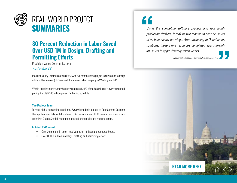

### **80 Percent Reduction in Labor Saved Over USD 1M in Design, Drafting and Permitting Efforts**

### Precision Valley Communications *Washington, DC*

Precision Valley Communications (PVC) was five months into a project to survey and redesign a hybrid fiber-coaxial (HFC) network for a major cable company in Washington, D.C.

Within that five months, they had only completed 21% of the 586 miles of survey completed, putting the USD 145 million project far behind schedule.

#### **The Project Team**

To meet highly demanding deadlines, PVC switched mid-project to OpenComms Designer. The application's MicroStation-based CAD environment, HFC-specific workflows, and optimized Oracle Spatial integration boosted productivity and reduced errors.

#### **In total, PVC saved:**

- Over 20 months in time equivalent to 18 thousand resource hours.
- Over USD 1 million in design, drafting and permitting efforts.

*Using the competing software product and four highly productive drafters, it took us five months to post 122 miles of as-built survey drawings. After switching to OpenComms solutions, those same resources completed approximately 400 miles in approximately seven weeks.*

 $-$ Notarangelo, Director of Business Development at P

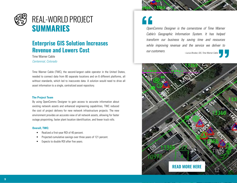

## REAL-WORLD PROJECT **SUMMARIES**

### **Enterprise GIS Solution Increases Revenue and Lowers Cost**

Time Warner Cable *Centennial, Colorado*

Time Warner Cable (TWC), the second-largest cable operator in the United States, needed to connect data from 80 separate locations and on 6 different platforms, all without standards, which led to inaccurate data. A solution would need to drive all asset information to a single, centralized asset repository.

#### **The Project Team**

By using OpenComms Designer to gain access to accurate information about existing network assets and enhanced engineering capabilities, TWC reduced the cost of project delivery for new network infrastructure projects. The new environment provides an accurate view of all network assets, allowing for faster outage pinpointing, faster plant location identification, and fewer truck rolls.

#### **Overall, TWC:**

- Realized a first-year ROI of 40 percent.
- Projected cumulative savings over three years of 121 percent.
- Expects to double ROI after five years.

*OpenComms Designer is the cornerstone of Time Warner Cable's Geographic Information System. It has helped transform our business by saving time and resources while improving revenue and the service we deliver to our customers. –Lucius Brooker, GIS, Time Warner Cable*